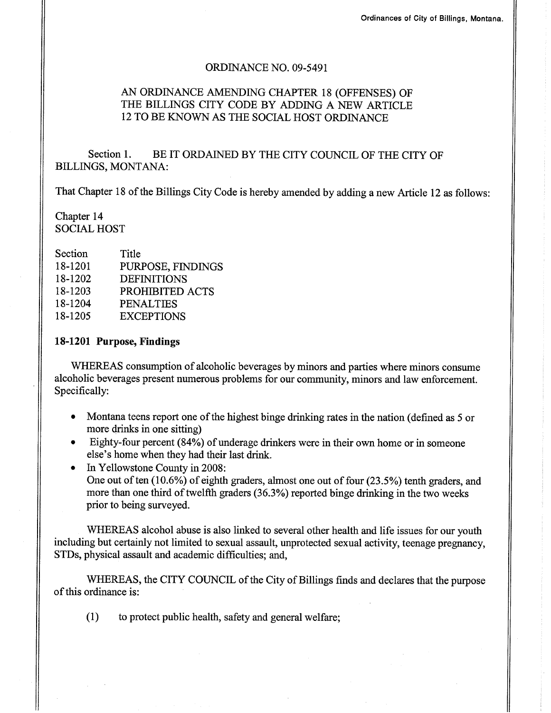### ORDINANCE NO. 09-5491

# AN ORDINANCE AMENDING CHAPTER 18 (OFFENSES) OF THE BILLINGS CITY CODE BY ADDING A NEW ARTICLE I2TO BE KNOWN AS THE SOCIAL HOST ORDINANCE

Section 1. BE IT ORDAINED BY THE CITY COUNCIL OF THE CITY OF BILLINGS, MONTANA:

That Chapter 18 of the Billings City Code is hereby amended by adding a new Article 12 as follows:

Chapter 14 SOCIAL HOST

| Section | Title              |
|---------|--------------------|
| 18-1201 | PURPOSE, FINDINGS  |
| 18-1202 | <b>DEFINITIONS</b> |
| 18-1203 | PROHIBITED ACTS    |
| 18-1204 | <b>PENALTIES</b>   |
| 18-1205 | <b>EXCEPTIONS</b>  |

### 18-1201 Purpose, Findings

WHEREAS consumption of alcoholic beverages by minors and parties where minors consume alcoholic beverages present numerous problems for our community, minors and law enforcement. Specifically:

- Montana teens report one of the highest binge drinking rates in the nation (defined as 5 or more drinks in one sitting)
- . Eighty-four percent (84%) of underage drinkers were in their own home or in someone else's home when they had their last drink.
- In Yellowstone County in 2008: One out of ten (10.6%) of eighth graders, almost one out of four (23.5%) tenth graders, and more than one third of twelfth graders (36.3%) reported binge drinking in the two weeks prior to being surveyed.

WHEREAS alcohol abuse is also linked to several other health and life issues for our youth including but certainly not limited to sexual assault, unprotected sexual activity, teenage pregnancy, STDs, physical assault and academic difficulties; and,

WHEREAS, the CITY COUNCIL of the City of Billings finds and declares that the purpose of this ordinance is:

(1) to protect public health, safety and general welfare;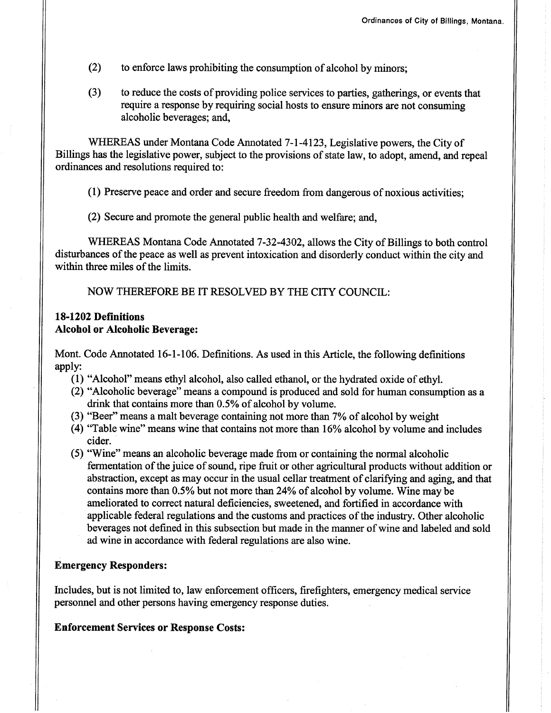- (2) to enforce laws prohibiting the consumption of alcohol by minors;
- (3) to reduce the costs of providing police services to parties, gatherings, or events that require a response by requiring social hosts to ensure minors are not consuming alcoholic beverages; and,

WHEREAS under Montana Code Annotated 7-1-4123, Legislative powers, the City of Billings has the legislative power, subject to the provisions of state law, to adopt, amend, and repeal ordinances and resolutions required to:

(1) Preserve peace and order and secure freedom from dangerous ofnoxious activities;

(2) Secure and promote the general public health and welfare; and,

WHEREAS Montana Code Annotated 7-32-4302, allows the City of Billings to both control disturbances of the peace as well as prevent intoxication and disorderly conduct within the city and within three miles of the limits.

NOW THEREFORE BE IT RESOLVED BY THE CITY COUNCIL:

## 18-1202 Defïnitions Alcohol or Alcoholic Beverage:

Mont. Code Annotated 16-1-106. Definitions. As used in this Article, the following definitions apply:

- (1) "Alcohol" means ethyl alcohol, also called ethanol, or the hydrated oxide of ethyl.
- (2) "Alcoholic beverage" means a compound is produced and sold for human consumption as a drink that contains more than 0.5% of alcohol by volume.
- (3) "Beer" means a malt beverage containing not more than 7% of alcohol by weight
- $(4)$  "Table wine" means wine that contains not more than 16% alcohol by volume and includes cider.
- (5) "Wine" means an alcoholic beverage made from or containing the normal alcoholic fermentation of the juice of sound, ripe fruit or other agricultural products without addition or abstraction, except as may occur in the usual cellar treatment of clarifying and aging, and that contains more than 0.5% but not more than 24% of alcohol by volume. Wine may be ameliorated to correct natural deficiencies, sweetened, and fortified in accordance with applicable federal regulations and the customs and practices of the industry. Other alcoholic beverages not defined in this subsection but made in the manner of wine and labeled and sold ad wine in accordance with federal regulations are also wine.

## Emergency Responders:

Includes, but is not limited to, law enforcement officers, firefighters, emergency medical service personnel and other persons having emergency response duties.

#### Enforcement Services or Response Costs: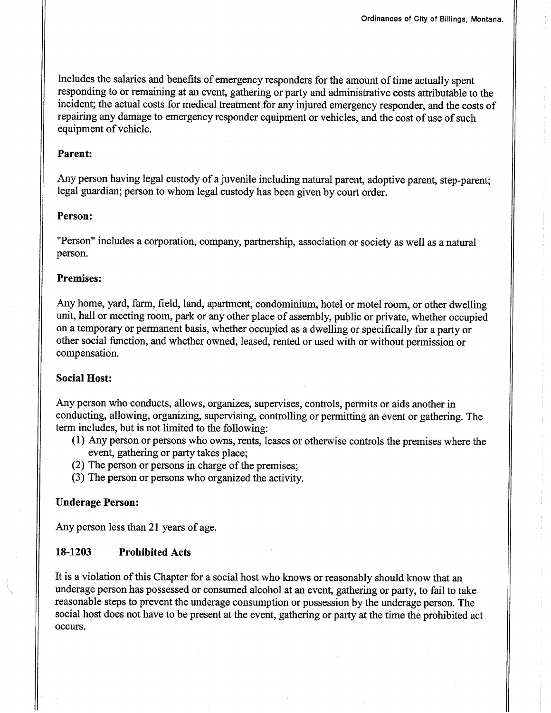Includes the salaries and benefits of emergency responders for the amount of time actually spent responding to or remaining at an event, gathering or party and administrative costs attributable to the incident; the actual costs for medical treatment for any injured emergency responder, and the costs of repairing any damage to emergency responder equipment or vehicles, and the cost of use of such equipment of vehicle.

#### Parent:

Any person having legal custody of a juvenile including natural parent, adoptive parent, step-parent; legal guardian; person to whom legal custody has been given by court order.

### Person:

"Person" includes a corporation, company, partnership, association or society as well as a natural person.

#### Premises:

Any home, yard, farm, field, land, apartment, condominium, hotel or motel room, or other dwelling unit, hall or meeting room, park or any other place of assembly, public or private, whether occupied on a temporary or permanent basis, whether occupied as a dwelling or specifically for a party or other social function, and whether owned, leased, rented or used with or without permission or compensation.

## Social Host:

Any person who conducts, allows, organizes, supervises, controls, permits or aids another in conducting, allowing, organizing, supervising, controlling or permitting an event or gathering. The term includes, but is not limited to the following:

- (1) AnV person or persons who owns, rents, leases or otherwise controls the premises where the event, gathering or party takes place;
- (2) The person or persons in charge of the premises;
- (3) The person or persons who organized the activity.

### Underage Person:

Any person less than 2l years of age.

# 18-1203 Prohibited Acts

It is a violation of this Chapter for a social host who knows or reasonably should know that an underage person has possessed or consumed alcohol at an event, gathering or party, to fail to take reasonable steps to prevent the underage consumption or possession by the underage person. The social host does not have to be present at the event, gathering or party at the time the prohibited act occurs.